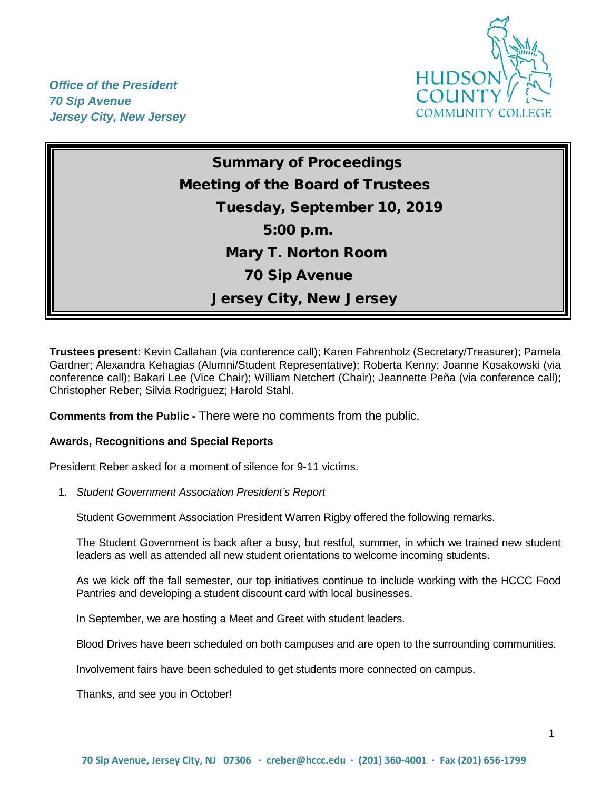

*Office of the President 70 Sip Avenue Jersey City, New Jersey*

> Summary of Proceedings Meeting of the Board of Trustees Tuesday, September 10, 2019 5:00 p.m. Mary T. Norton Room 70 Sip Avenue Jersey City, New Jersey

**Trustees present:** Kevin Callahan (via conference call); Karen Fahrenholz (Secretary/Treasurer); Pamela Gardner; Alexandra Kehagias (Alumni/Student Representative); Roberta Kenny; Joanne Kosakowski (via conference call); Bakari Lee (Vice Chair); William Netchert (Chair); Jeannette Peña (via conference call); Christopher Reber; Silvia Rodriguez; Harold Stahl.

**Comments from the Public** *-* There were no comments from the public.

# **Awards, Recognitions and Special Reports**

President Reber asked for a moment of silence for 9-11 victims.

1. *Student Government Association President's Report* 

Student Government Association President Warren Rigby offered the following remarks.

The Student Government is back after a busy, but restful, summer, in which we trained new student leaders as well as attended all new student orientations to welcome incoming students.

As we kick off the fall semester, our top initiatives continue to include working with the HCCC Food Pantries and developing a student discount card with local businesses.

In September, we are hosting a Meet and Greet with student leaders.

Blood Drives have been scheduled on both campuses and are open to the surrounding communities.

Involvement fairs have been scheduled to get students more connected on campus.

Thanks, and see you in October!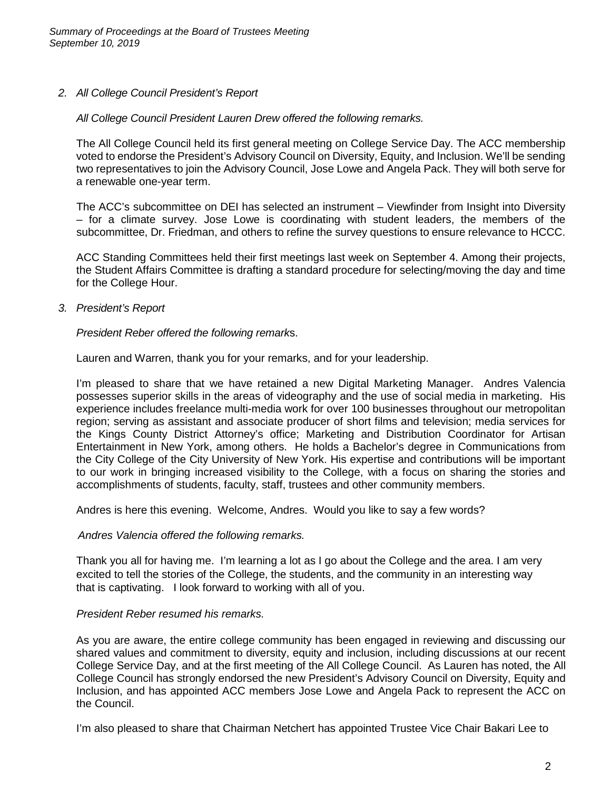*2. All College Council President's Report* 

## *All College Council President Lauren Drew offered the following remarks.*

The All College Council held its first general meeting on College Service Day. The ACC membership voted to endorse the President's Advisory Council on Diversity, Equity, and Inclusion. We'll be sending two representatives to join the Advisory Council, Jose Lowe and Angela Pack. They will both serve for a renewable one-year term.

The ACC's subcommittee on DEI has selected an instrument – Viewfinder from Insight into Diversity – for a climate survey. Jose Lowe is coordinating with student leaders, the members of the subcommittee, Dr. Friedman, and others to refine the survey questions to ensure relevance to HCCC.

ACC Standing Committees held their first meetings last week on September 4. Among their projects, the Student Affairs Committee is drafting a standard procedure for selecting/moving the day and time for the College Hour.

*3. President's Report*

## *President Reber offered the following remark*s.

Lauren and Warren, thank you for your remarks, and for your leadership.

I'm pleased to share that we have retained a new Digital Marketing Manager. Andres Valencia possesses superior skills in the areas of videography and the use of social media in marketing. His experience includes freelance multi-media work for over 100 businesses throughout our metropolitan region; serving as assistant and associate producer of short films and television; media services for the Kings County District Attorney's office; Marketing and Distribution Coordinator for Artisan Entertainment in New York, among others. He holds a Bachelor's degree in Communications from the City College of the City University of New York. His expertise and contributions will be important to our work in bringing increased visibility to the College, with a focus on sharing the stories and accomplishments of students, faculty, staff, trustees and other community members.

Andres is here this evening. Welcome, Andres. Would you like to say a few words?

#### *Andres Valencia offered the following remarks.*

Thank you all for having me. I'm learning a lot as I go about the College and the area. I am very excited to tell the stories of the College, the students, and the community in an interesting way that is captivating. I look forward to working with all of you.

#### *President Reber resumed his remarks.*

As you are aware, the entire college community has been engaged in reviewing and discussing our shared values and commitment to diversity, equity and inclusion, including discussions at our recent College Service Day, and at the first meeting of the All College Council. As Lauren has noted, the All College Council has strongly endorsed the new President's Advisory Council on Diversity, Equity and Inclusion, and has appointed ACC members Jose Lowe and Angela Pack to represent the ACC on the Council.

I'm also pleased to share that Chairman Netchert has appointed Trustee Vice Chair Bakari Lee to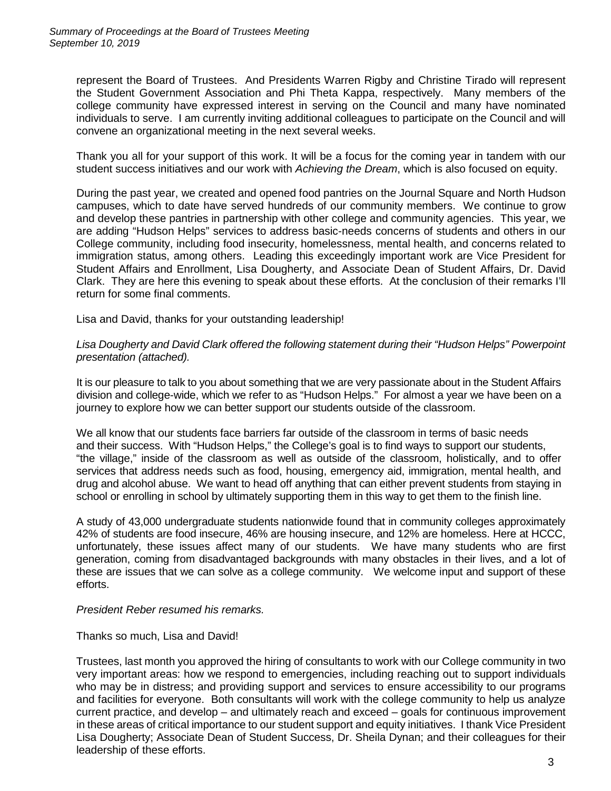represent the Board of Trustees. And Presidents Warren Rigby and Christine Tirado will represent the Student Government Association and Phi Theta Kappa, respectively. Many members of the college community have expressed interest in serving on the Council and many have nominated individuals to serve. I am currently inviting additional colleagues to participate on the Council and will convene an organizational meeting in the next several weeks.

Thank you all for your support of this work. It will be a focus for the coming year in tandem with our student success initiatives and our work with *Achieving the Dream*, which is also focused on equity.

During the past year, we created and opened food pantries on the Journal Square and North Hudson campuses, which to date have served hundreds of our community members. We continue to grow and develop these pantries in partnership with other college and community agencies. This year, we are adding "Hudson Helps" services to address basic-needs concerns of students and others in our College community, including food insecurity, homelessness, mental health, and concerns related to immigration status, among others. Leading this exceedingly important work are Vice President for Student Affairs and Enrollment, Lisa Dougherty, and Associate Dean of Student Affairs, Dr. David Clark. They are here this evening to speak about these efforts. At the conclusion of their remarks I'll return for some final comments.

Lisa and David, thanks for your outstanding leadership!

*Lisa Dougherty and David Clark offered the following statement during their "Hudson Helps" Powerpoint presentation (attached).*

It is our pleasure to talk to you about something that we are very passionate about in the Student Affairs division and college-wide, which we refer to as "Hudson Helps." For almost a year we have been on a journey to explore how we can better support our students outside of the classroom.

We all know that our students face barriers far outside of the classroom in terms of basic needs and their success. With "Hudson Helps," the College's goal is to find ways to support our students, "the village," inside of the classroom as well as outside of the classroom, holistically, and to offer services that address needs such as food, housing, emergency aid, immigration, mental health, and drug and alcohol abuse. We want to head off anything that can either prevent students from staying in school or enrolling in school by ultimately supporting them in this way to get them to the finish line.

A study of 43,000 undergraduate students nationwide found that in community colleges approximately 42% of students are food insecure, 46% are housing insecure, and 12% are homeless. Here at HCCC, unfortunately, these issues affect many of our students. We have many students who are first generation, coming from disadvantaged backgrounds with many obstacles in their lives, and a lot of these are issues that we can solve as a college community. We welcome input and support of these efforts.

# *President Reber resumed his remarks.*

#### Thanks so much, Lisa and David!

Trustees, last month you approved the hiring of consultants to work with our College community in two very important areas: how we respond to emergencies, including reaching out to support individuals who may be in distress; and providing support and services to ensure accessibility to our programs and facilities for everyone. Both consultants will work with the college community to help us analyze current practice, and develop – and ultimately reach and exceed – goals for continuous improvement in these areas of critical importance to our student support and equity initiatives. I thank Vice President Lisa Dougherty; Associate Dean of Student Success, Dr. Sheila Dynan; and their colleagues for their leadership of these efforts.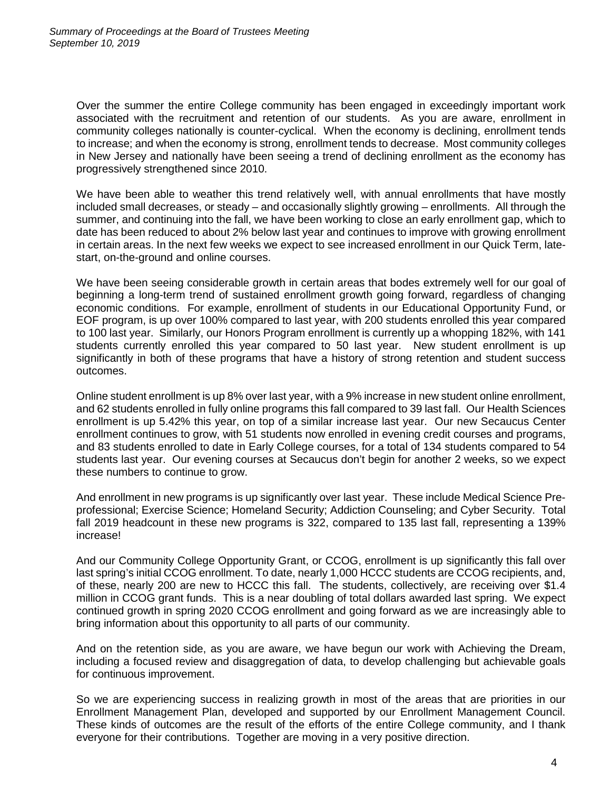Over the summer the entire College community has been engaged in exceedingly important work associated with the recruitment and retention of our students. As you are aware, enrollment in community colleges nationally is counter-cyclical. When the economy is declining, enrollment tends to increase; and when the economy is strong, enrollment tends to decrease. Most community colleges in New Jersey and nationally have been seeing a trend of declining enrollment as the economy has progressively strengthened since 2010.

We have been able to weather this trend relatively well, with annual enrollments that have mostly included small decreases, or steady – and occasionally slightly growing – enrollments. All through the summer, and continuing into the fall, we have been working to close an early enrollment gap, which to date has been reduced to about 2% below last year and continues to improve with growing enrollment in certain areas. In the next few weeks we expect to see increased enrollment in our Quick Term, latestart, on-the-ground and online courses.

We have been seeing considerable growth in certain areas that bodes extremely well for our goal of beginning a long-term trend of sustained enrollment growth going forward, regardless of changing economic conditions. For example, enrollment of students in our Educational Opportunity Fund, or EOF program, is up over 100% compared to last year, with 200 students enrolled this year compared to 100 last year. Similarly, our Honors Program enrollment is currently up a whopping 182%, with 141 students currently enrolled this year compared to 50 last year. New student enrollment is up significantly in both of these programs that have a history of strong retention and student success outcomes.

Online student enrollment is up 8% over last year, with a 9% increase in new student online enrollment, and 62 students enrolled in fully online programs this fall compared to 39 last fall. Our Health Sciences enrollment is up 5.42% this year, on top of a similar increase last year. Our new Secaucus Center enrollment continues to grow, with 51 students now enrolled in evening credit courses and programs, and 83 students enrolled to date in Early College courses, for a total of 134 students compared to 54 students last year. Our evening courses at Secaucus don't begin for another 2 weeks, so we expect these numbers to continue to grow.

And enrollment in new programs is up significantly over last year. These include Medical Science Preprofessional; Exercise Science; Homeland Security; Addiction Counseling; and Cyber Security. Total fall 2019 headcount in these new programs is 322, compared to 135 last fall, representing a 139% increase!

And our Community College Opportunity Grant, or CCOG, enrollment is up significantly this fall over last spring's initial CCOG enrollment. To date, nearly 1,000 HCCC students are CCOG recipients, and, of these, nearly 200 are new to HCCC this fall. The students, collectively, are receiving over \$1.4 million in CCOG grant funds. This is a near doubling of total dollars awarded last spring. We expect continued growth in spring 2020 CCOG enrollment and going forward as we are increasingly able to bring information about this opportunity to all parts of our community.

And on the retention side, as you are aware, we have begun our work with Achieving the Dream, including a focused review and disaggregation of data, to develop challenging but achievable goals for continuous improvement.

So we are experiencing success in realizing growth in most of the areas that are priorities in our Enrollment Management Plan, developed and supported by our Enrollment Management Council. These kinds of outcomes are the result of the efforts of the entire College community, and I thank everyone for their contributions. Together are moving in a very positive direction.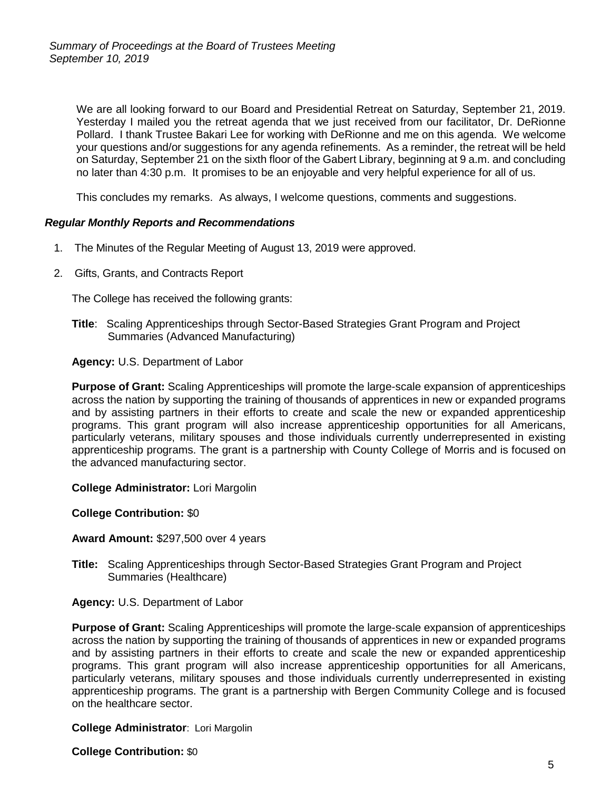We are all looking forward to our Board and Presidential Retreat on Saturday, September 21, 2019. Yesterday I mailed you the retreat agenda that we just received from our facilitator, Dr. DeRionne Pollard. I thank Trustee Bakari Lee for working with DeRionne and me on this agenda. We welcome your questions and/or suggestions for any agenda refinements. As a reminder, the retreat will be held on Saturday, September 21 on the sixth floor of the Gabert Library, beginning at 9 a.m. and concluding no later than 4:30 p.m. It promises to be an enjoyable and very helpful experience for all of us.

This concludes my remarks. As always, I welcome questions, comments and suggestions.

# *Regular Monthly Reports and Recommendations*

- 1.The Minutes of the Regular Meeting of August 13, 2019 were approved.
- 2.Gifts, Grants, and Contracts Report

The College has received the following grants:

**Title**: Scaling Apprenticeships through Sector-Based Strategies Grant Program and Project Summaries (Advanced Manufacturing)

**Agency:** U.S. Department of Labor

**Purpose of Grant:** Scaling Apprenticeships will promote the large-scale expansion of apprenticeships across the nation by supporting the training of thousands of apprentices in new or expanded programs and by assisting partners in their efforts to create and scale the new or expanded apprenticeship programs. This grant program will also increase apprenticeship opportunities for all Americans, particularly veterans, military spouses and those individuals currently underrepresented in existing apprenticeship programs. The grant is a partnership with County College of Morris and is focused on the advanced manufacturing sector.

**College Administrator:** Lori Margolin

**College Contribution:** \$0

**Award Amount:** \$297,500 over 4 years

**Title:** Scaling Apprenticeships through Sector-Based Strategies Grant Program and Project Summaries (Healthcare)

**Agency:** U.S. Department of Labor

**Purpose of Grant:** Scaling Apprenticeships will promote the large-scale expansion of apprenticeships across the nation by supporting the training of thousands of apprentices in new or expanded programs and by assisting partners in their efforts to create and scale the new or expanded apprenticeship programs. This grant program will also increase apprenticeship opportunities for all Americans, particularly veterans, military spouses and those individuals currently underrepresented in existing apprenticeship programs. The grant is a partnership with Bergen Community College and is focused on the healthcare sector.

#### **College Administrator**: Lori Margolin

**College Contribution:** \$0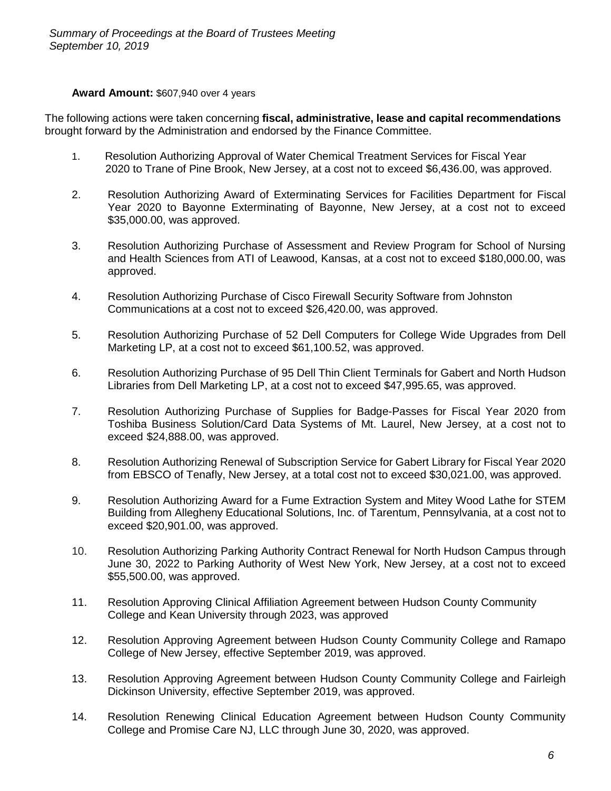# **Award Amount:** \$607,940 over 4 years

The following actions were taken concerning **fiscal, administrative, lease and capital recommendations** brought forward by the Administration and endorsed by the Finance Committee.

- 1. Resolution Authorizing Approval of Water Chemical Treatment Services for Fiscal Year 2020 to Trane of Pine Brook, New Jersey, at a cost not to exceed \$6,436.00, was approved.
- 2. Resolution Authorizing Award of Exterminating Services for Facilities Department for Fiscal Year 2020 to Bayonne Exterminating of Bayonne, New Jersey, at a cost not to exceed \$35,000.00, was approved.
- 3. Resolution Authorizing Purchase of Assessment and Review Program for School of Nursing and Health Sciences from ATI of Leawood, Kansas, at a cost not to exceed \$180,000.00, was approved.
- 4. Resolution Authorizing Purchase of Cisco Firewall Security Software from Johnston Communications at a cost not to exceed \$26,420.00, was approved.
- 5. Resolution Authorizing Purchase of 52 Dell Computers for College Wide Upgrades from Dell Marketing LP, at a cost not to exceed \$61,100.52, was approved.
- 6. Resolution Authorizing Purchase of 95 Dell Thin Client Terminals for Gabert and North Hudson Libraries from Dell Marketing LP, at a cost not to exceed \$47,995.65, was approved.
- 7. Resolution Authorizing Purchase of Supplies for Badge-Passes for Fiscal Year 2020 from Toshiba Business Solution/Card Data Systems of Mt. Laurel, New Jersey, at a cost not to exceed \$24,888.00, was approved.
- 8. Resolution Authorizing Renewal of Subscription Service for Gabert Library for Fiscal Year 2020 from EBSCO of Tenafly, New Jersey, at a total cost not to exceed \$30,021.00, was approved.
- 9. Resolution Authorizing Award for a Fume Extraction System and Mitey Wood Lathe for STEM Building from Allegheny Educational Solutions, Inc. of Tarentum, Pennsylvania, at a cost not to exceed \$20,901.00, was approved.
- 10. Resolution Authorizing Parking Authority Contract Renewal for North Hudson Campus through June 30, 2022 to Parking Authority of West New York, New Jersey, at a cost not to exceed \$55,500.00, was approved.
- 11. Resolution Approving Clinical Affiliation Agreement between Hudson County Community College and Kean University through 2023, was approved
- 12. Resolution Approving Agreement between Hudson County Community College and Ramapo College of New Jersey, effective September 2019, was approved.
- 13. Resolution Approving Agreement between Hudson County Community College and Fairleigh Dickinson University, effective September 2019, was approved.
- 14. Resolution Renewing Clinical Education Agreement between Hudson County Community College and Promise Care NJ, LLC through June 30, 2020, was approved.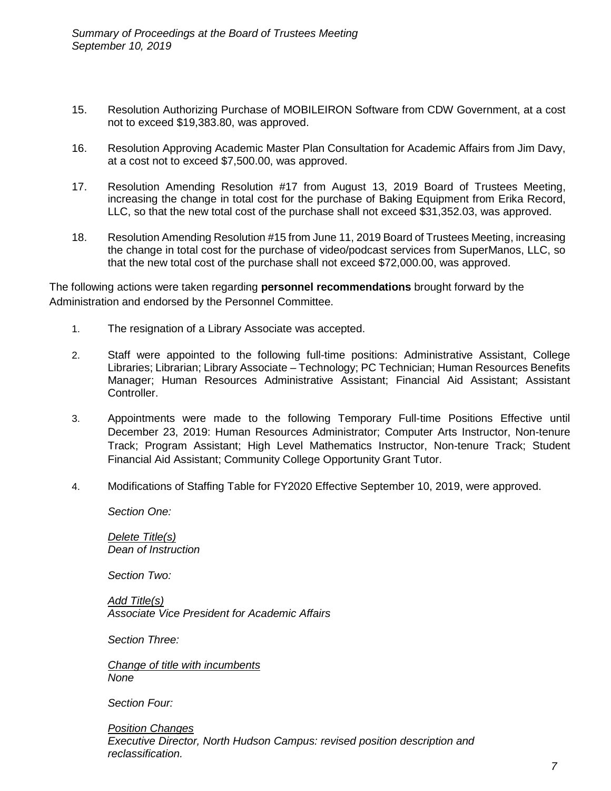- 15. Resolution Authorizing Purchase of MOBILEIRON Software from CDW Government, at a cost not to exceed \$19,383.80, was approved.
- 16. Resolution Approving Academic Master Plan Consultation for Academic Affairs from Jim Davy, at a cost not to exceed \$7,500.00, was approved.
- 17. Resolution Amending Resolution #17 from August 13, 2019 Board of Trustees Meeting, increasing the change in total cost for the purchase of Baking Equipment from Erika Record, LLC, so that the new total cost of the purchase shall not exceed \$31,352.03, was approved.
- 18. Resolution Amending Resolution #15 from June 11, 2019 Board of Trustees Meeting, increasing the change in total cost for the purchase of video/podcast services from SuperManos, LLC, so that the new total cost of the purchase shall not exceed \$72,000.00, was approved.

The following actions were taken regarding **personnel recommendations** brought forward by the Administration and endorsed by the Personnel Committee.

- 1. The resignation of a Library Associate was accepted.
- 2. Staff were appointed to the following full-time positions: Administrative Assistant, College Libraries; Librarian; Library Associate – Technology; PC Technician; Human Resources Benefits Manager; Human Resources Administrative Assistant; Financial Aid Assistant; Assistant Controller.
- 3. Appointments were made to the following Temporary Full-time Positions Effective until December 23, 2019: Human Resources Administrator; Computer Arts Instructor, Non-tenure Track; Program Assistant; High Level Mathematics Instructor, Non-tenure Track; Student Financial Aid Assistant; Community College Opportunity Grant Tutor.
- 4. Modifications of Staffing Table for FY2020 Effective September 10, 2019, were approved.

*Section One:*

*Delete Title(s) Dean of Instruction*

*Section Two:*

*Add Title(s) Associate Vice President for Academic Affairs*

*Section Three:*

*Change of title with incumbents None*

*Section Four:*

*Position Changes Executive Director, North Hudson Campus: revised position description and reclassification.*